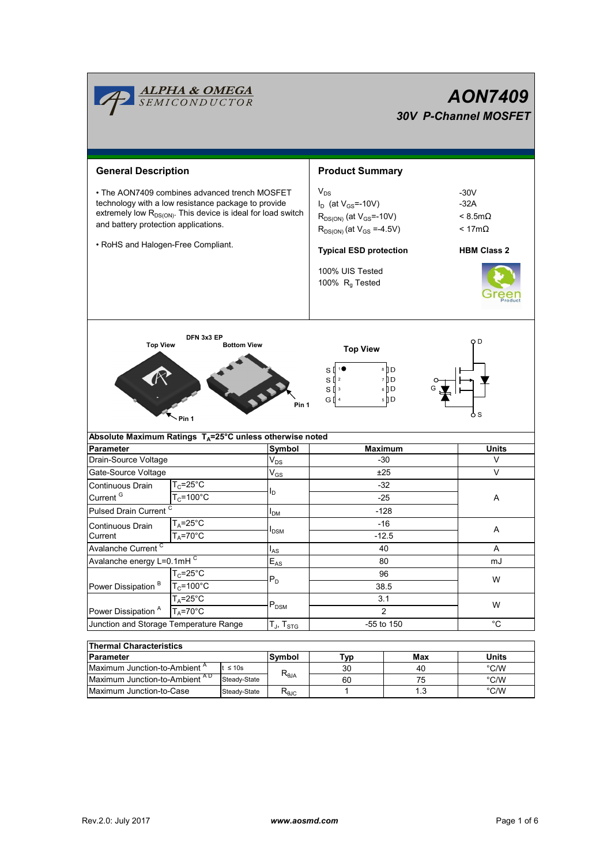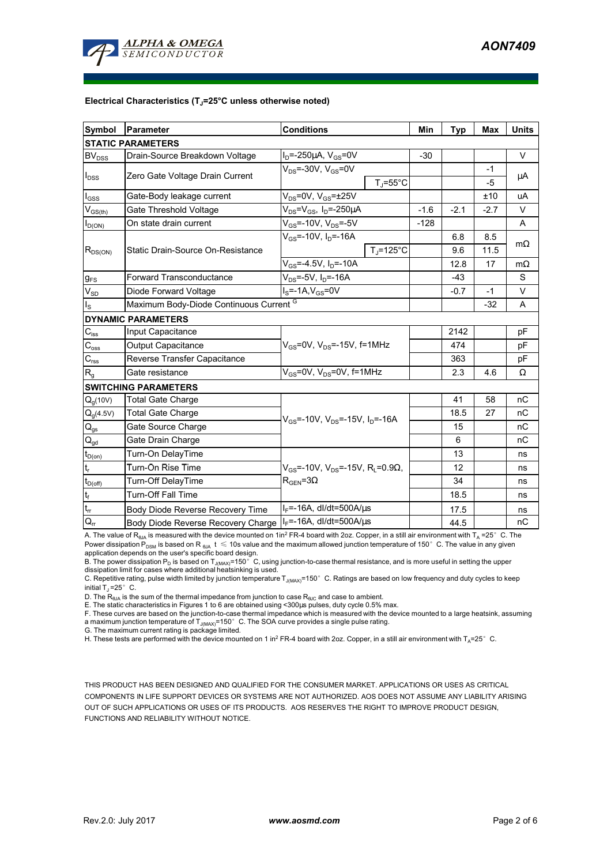

#### **Electrical Characteristics (TJ=25°C unless otherwise noted)**

| Symbol                      | Parameter                                          | <b>Conditions</b>                                                                            |                                  | Min    | <b>Typ</b> | Max    | <b>Units</b> |
|-----------------------------|----------------------------------------------------|----------------------------------------------------------------------------------------------|----------------------------------|--------|------------|--------|--------------|
| <b>STATIC PARAMETERS</b>    |                                                    |                                                                                              |                                  |        |            |        |              |
| <b>BV</b> <sub>DSS</sub>    | Drain-Source Breakdown Voltage                     | $I_{D} = -250 \mu A$ , $V_{GS} = 0V$                                                         |                                  | $-30$  |            |        | $\vee$       |
| $I_{DSS}$                   | Zero Gate Voltage Drain Current                    | $V_{DS}$ =-30V, $V_{GS}$ =0V                                                                 |                                  |        |            | $-1$   |              |
|                             |                                                    |                                                                                              | $T_{J} = 55^{\circ}$ C           |        |            | $-5$   | μA           |
| l <sub>GSS</sub>            | Gate-Body leakage current                          | $V_{DS}$ =0V, $V_{GS}$ =±25V                                                                 |                                  |        |            | ±10    | uA           |
| $V_{GS(th)}$                | Gate Threshold Voltage                             | $V_{DS} = V_{GS}$ , I <sub>D</sub> =-250µA                                                   |                                  | $-1.6$ | $-2.1$     | $-2.7$ | $\vee$       |
| $I_{D(ON)}$                 | On state drain current                             | $V_{GS}$ =-10V, $V_{DS}$ =-5V                                                                |                                  | $-128$ |            |        | A            |
| $R_{DS(ON)}$                | <b>Static Drain-Source On-Resistance</b>           | $V_{GS}$ =-10V, $I_D$ =-16A                                                                  |                                  |        | 6.8        | 8.5    |              |
|                             |                                                    |                                                                                              | $T_{\rm J}$ =125°C               |        | 9.6        | 11.5   | $m\Omega$    |
|                             |                                                    | $V_{GS} = -4.5V$ , $I_D = -10A$                                                              |                                  |        | 12.8       | 17     | $m\Omega$    |
| $g_{FS}$                    | <b>Forward Transconductance</b>                    | $V_{DS}$ =-5V, I <sub>D</sub> =-16A                                                          |                                  |        | $-43$      |        | S            |
| $V_{SD}$                    | Diode Forward Voltage                              | $I_S = -1A, V_{GS} = 0V$                                                                     |                                  |        | $-0.7$     | $-1$   | $\vee$       |
| $I_{\rm S}$                 | Maximum Body-Diode Continuous Current <sup>G</sup> |                                                                                              |                                  |        |            | $-32$  | A            |
|                             | <b>DYNAMIC PARAMETERS</b>                          |                                                                                              |                                  |        |            |        |              |
| $C_{\text{iss}}$            | Input Capacitance                                  | $V_{GS}$ =0V, $V_{DS}$ =-15V, f=1MHz                                                         |                                  |        | 2142       |        | pF           |
| $C_{\rm oss}$               | <b>Output Capacitance</b>                          |                                                                                              |                                  |        | 474        |        | pF           |
| $\mathbf{C}_{\text{rss}}$   | Reverse Transfer Capacitance                       |                                                                                              |                                  |        | 363        |        | pF           |
| R <sub>g</sub>              | Gate resistance                                    | $V_{GS}$ =0V, $V_{DS}$ =0V, f=1MHz                                                           |                                  |        | 2.3        | 4.6    | Ω            |
|                             | <b>SWITCHING PARAMETERS</b>                        |                                                                                              |                                  |        |            |        |              |
| Q <sub>g</sub> (10V)        | Total Gate Charge                                  | $V_{GS}$ =-10V, $V_{DS}$ =-15V, I <sub>D</sub> =-16A                                         |                                  |        | 41         | 58     | пC           |
| $Q_q(4.5V)$                 | <b>Total Gate Charge</b>                           |                                                                                              |                                  |        | 18.5       | 27     | nC           |
| $Q_{gs}$                    | Gate Source Charge                                 |                                                                                              |                                  |        | 15         |        | nС           |
| $Q_{\text{gd}}$             | Gate Drain Charge                                  |                                                                                              |                                  |        | 6          |        | nC           |
| $t_{D(0n)}$                 | Turn-On DelayTime                                  | $V_{GS}$ =-10V, $V_{DS}$ =-15V, R <sub>i</sub> =0.9 $\Omega$ ,<br>$R_{\text{GEN}} = 3\Omega$ |                                  |        | 13         |        | ns           |
| $\mathfrak{t}_{\mathsf{r}}$ | Turn-On Rise Time                                  |                                                                                              |                                  |        | 12         |        | ns           |
| $t_{D{\rm (off)}}$          | Turn-Off DelayTime                                 |                                                                                              |                                  |        | 34         |        | ns           |
| $t_f$                       | Turn-Off Fall Time                                 |                                                                                              |                                  |        | 18.5       |        | ns           |
| $\mathfrak{t}_{\text{rr}}$  | Body Diode Reverse Recovery Time                   | $I_F$ =-16A, dl/dt=500A/ $\mu$ s                                                             |                                  |        | 17.5       |        | ns           |
| $Q_{rr}$                    | Body Diode Reverse Recovery Charge                 |                                                                                              | $I_F$ =-16A, dl/dt=500A/ $\mu$ s |        | 44.5       |        | nC           |

A. The value of R<sub>θJA</sub> is measured with the device mounted on 1in<sup>2</sup> FR-4 board with 2oz. Copper, in a still air environment with T<sub>A</sub> =25°C. The Power dissipation P<sub>DSM</sub> is based on R<sub>6JA</sub> t  $\leq$  10s value and the maximum allowed junction temperature of 150°C. The value in any given application depends on the user's specific board design.

B. The power dissipation P<sub>D</sub> is based on T<sub>J(MAX)</sub>=150<sup>°</sup> C, using junction-to-case thermal resistance, and is more useful in setting the upper dissipation limit for cases where additional heatsinking is used.

C. Repetitive rating, pulse width limited by junction temperature  $T_{J(MAX)}$ =150°C. Ratings are based on low frequency and duty cycles to keep initial  $T_J = 25^\circ$  C.

D. The  $R_{\thetaJA}$  is the sum of the thermal impedance from junction to case  $R_{\thetaJC}$  and case to ambient.

E. The static characteristics in Figures 1 to 6 are obtained using <300us pulses, duty cycle 0.5% max.

F. These curves are based on the junction-to-case thermal impedance which is measured with the device mounted to a large heatsink, assuming a maximum junction temperature of  $T_{J(MAX)}$ =150° C. The SOA curve provides a single pulse rating.

G. The maximum current rating is package limited.

H. These tests are performed with the device mounted on 1 in<sup>2</sup> FR-4 board with 2oz. Copper, in a still air environment with T<sub>A</sub>=25°C.

THIS PRODUCT HAS BEEN DESIGNED AND QUALIFIED FOR THE CONSUMER MARKET. APPLICATIONS OR USES AS CRITICAL COMPONENTS IN LIFE SUPPORT DEVICES OR SYSTEMS ARE NOT AUTHORIZED. AOS DOES NOT ASSUME ANY LIABILITY ARISING OUT OF SUCH APPLICATIONS OR USES OF ITS PRODUCTS. AOS RESERVES THE RIGHT TO IMPROVE PRODUCT DESIGN, FUNCTIONS AND RELIABILITY WITHOUT NOTICE.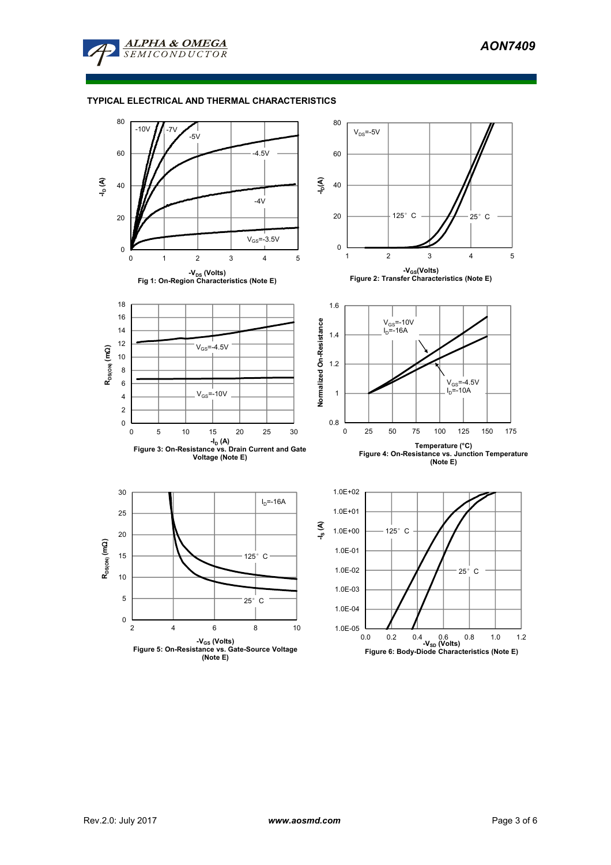

## **TYPICAL ELECTRICAL AND THERMAL CHARACTERISTICS**

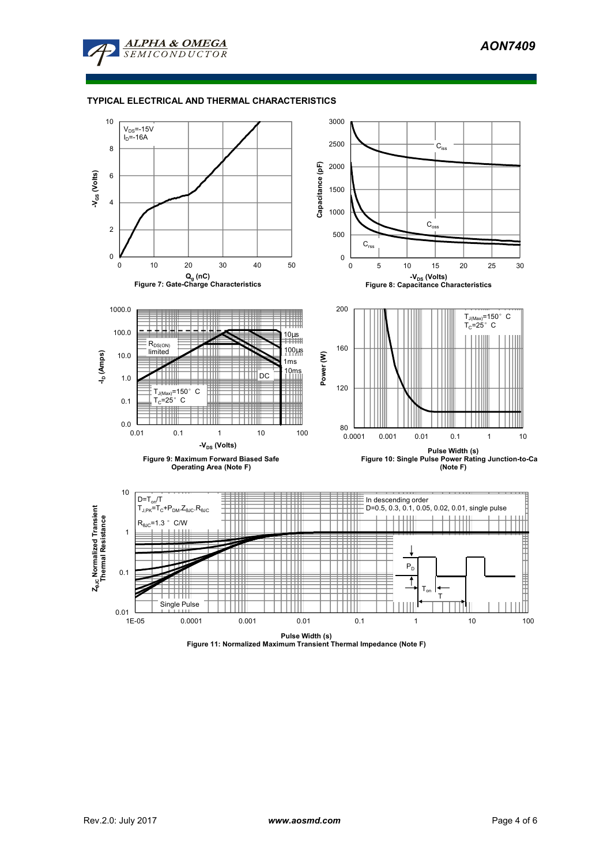

## **TYPICAL ELECTRICAL AND THERMAL CHARACTERISTICS**

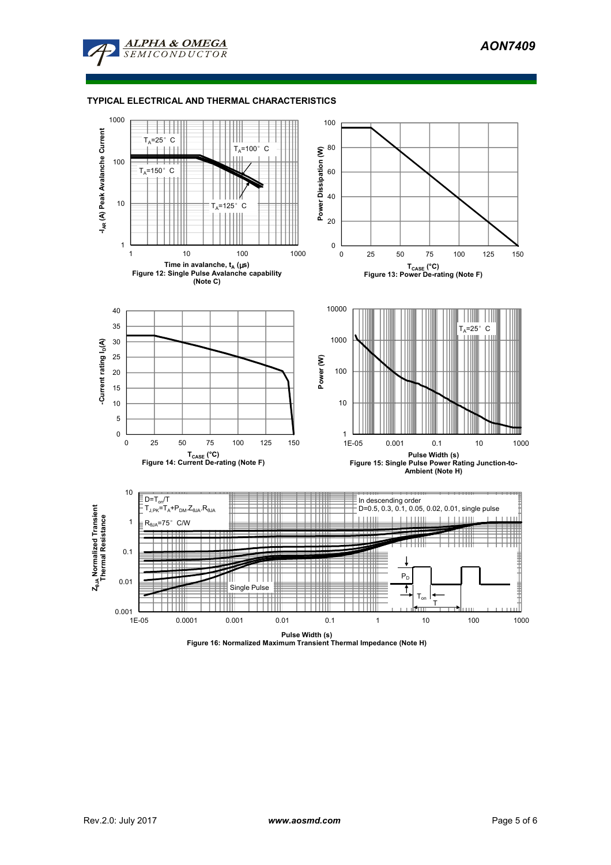

#### **TYPICAL ELECTRICAL AND THERMAL CHARACTERISTICS**



**Pulse Width (s) Figure 16: Normalized Maximum Transient Thermal Impedance (Note H)**